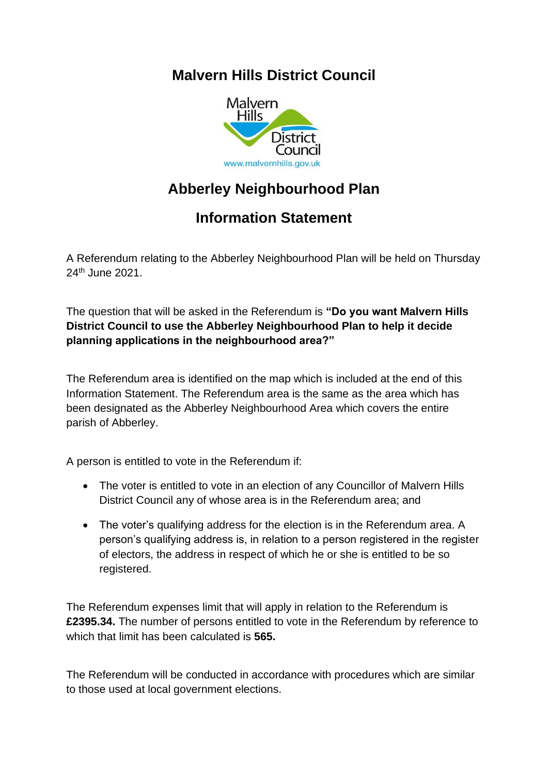## **Malvern Hills District Council**



## **Abberley Neighbourhood Plan**

## **Information Statement**

A Referendum relating to the Abberley Neighbourhood Plan will be held on Thursday 24th June 2021.

The question that will be asked in the Referendum is **"Do you want Malvern Hills District Council to use the Abberley Neighbourhood Plan to help it decide planning applications in the neighbourhood area?"**

The Referendum area is identified on the map which is included at the end of this Information Statement. The Referendum area is the same as the area which has been designated as the Abberley Neighbourhood Area which covers the entire parish of Abberley.

A person is entitled to vote in the Referendum if:

- The voter is entitled to vote in an election of any Councillor of Malvern Hills District Council any of whose area is in the Referendum area; and
- The voter's qualifying address for the election is in the Referendum area. A person's qualifying address is, in relation to a person registered in the register of electors, the address in respect of which he or she is entitled to be so registered.

The Referendum expenses limit that will apply in relation to the Referendum is **£2395.34.** The number of persons entitled to vote in the Referendum by reference to which that limit has been calculated is **565.**

The Referendum will be conducted in accordance with procedures which are similar to those used at local government elections.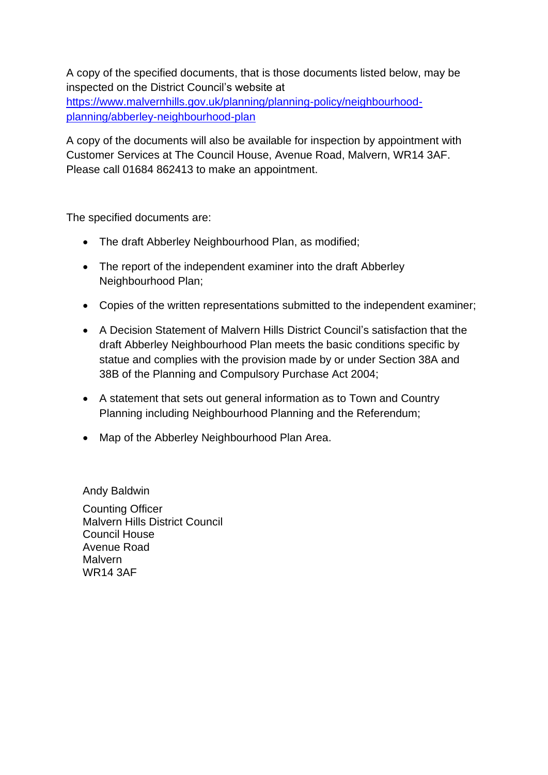A copy of the specified documents, that is those documents listed below, may be inspected on the District Council's website at [https://www.malvernhills.gov.uk/planning/planning-policy/neighbourhood](https://www.malvernhills.gov.uk/planning/planning-policy/neighbourhood-planning/abberley-neighbourhood-plan)[planning/abberley-neighbourhood-plan](https://www.malvernhills.gov.uk/planning/planning-policy/neighbourhood-planning/abberley-neighbourhood-plan)

A copy of the documents will also be available for inspection by appointment with Customer Services at The Council House, Avenue Road, Malvern, WR14 3AF. Please call 01684 862413 to make an appointment.

The specified documents are:

- The draft Abberley Neighbourhood Plan, as modified;
- The report of the independent examiner into the draft Abberley Neighbourhood Plan;
- Copies of the written representations submitted to the independent examiner;
- A Decision Statement of Malvern Hills District Council's satisfaction that the draft Abberley Neighbourhood Plan meets the basic conditions specific by statue and complies with the provision made by or under Section 38A and 38B of the Planning and Compulsory Purchase Act 2004;
- A statement that sets out general information as to Town and Country Planning including Neighbourhood Planning and the Referendum;
- Map of the Abberley Neighbourhood Plan Area.

Andy Baldwin Counting Officer Malvern Hills District Council Council House Avenue Road Malvern WR14 3AF